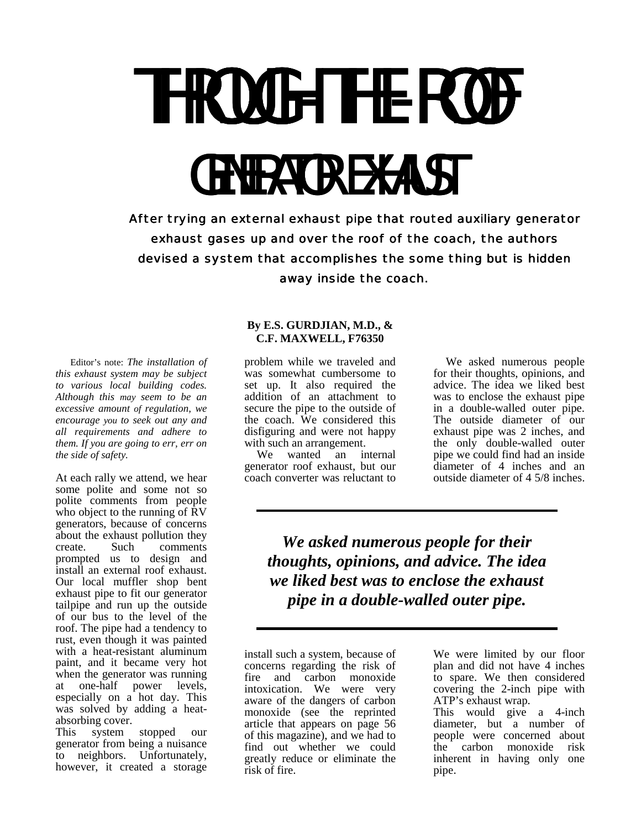## THROUGH-THE-ROOF GENERATOR EXHAUST GENERATOR EXHAUST

After trying an external exhaust pipe that routed auxiliary generator exhaust gases up and over the roof of the coach, the authors devised a system that accomplishes the some thing but is hidden away inside the coach.

Editor's note: *The installation of this exhaust system may be subject to various local building codes. Although this may seem to be an excessive amount of regulation, we encourage you to seek out any and all requirements and adhere to them. If you are going to err, err on the side of safety.*

At each rally we attend, we hear some polite and some not so polite comments from people who object to the running of RV generators, because of concerns about the exhaust pollution they create. Such comments prompted us to design and install an external roof exhaust. Our local muffler shop bent exhaust pipe to fit our generator tailpipe and run up the outside of our bus to the level of the roof. The pipe had a tendency to rust, even though it was painted with a heat-resistant aluminum paint, and it became very hot when the generator was running at one-half power levels, especially on a hot day. This was solved by adding a heatabsorbing cover.

This system stopped our generator from being a nuisance<br>to neighbors. Unfortunately, to neighbors. however, it created a storage

## **By E.S. GURDJIAN, M.D., & C.F. MAXWELL, F76350**

problem while we traveled and was somewhat cumbersome to set up. It also required the addition of an attachment to secure the pipe to the outside of the coach. We considered this disfiguring and were not happy with such an arrangement.

We wanted an internal generator roof exhaust, but our coach converter was reluctant to

We asked numerous people for their thoughts, opinions, and advice. The idea we liked best was to enclose the exhaust pipe in a double-walled outer pipe. The outside diameter of our exhaust pipe was 2 inches, and the only double-walled outer pipe we could find had an inside diameter of 4 inches and an outside diameter of 4 5/8 inches.

*We asked numerous people for their thoughts, opinions, and advice. The idea we liked best was to enclose the exhaust pipe in a double-walled outer pipe.*

install such a system, because of concerns regarding the risk of fire and carbon monoxide intoxication. We were very aware of the dangers of carbon monoxide (see the reprinted article that appears on page 56 of this magazine), and we had to find out whether we could greatly reduce or eliminate the risk of fire.

We were limited by our floor plan and did not have 4 inches to spare. We then considered covering the 2-inch pipe with ATP's exhaust wrap.

This would give a 4-inch diameter, but a number of people were concerned about the carbon monoxide risk inherent in having only one pipe.